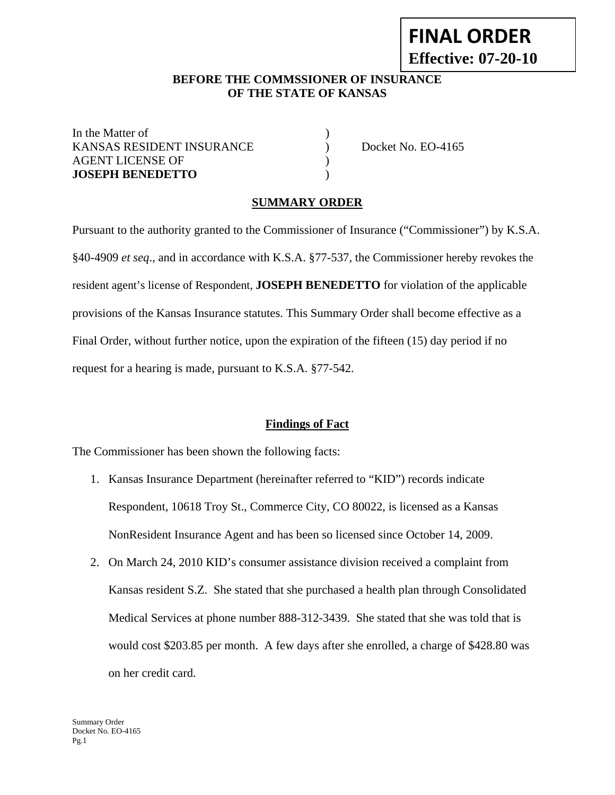# **FINAL ORDER Effective: 07-20-10**

### **BEFORE THE COMMSSIONER OF INSURANCE OF THE STATE OF KANSAS**

In the Matter of  $\qquad \qquad$  ) KANSAS RESIDENT INSURANCE ) Docket No. EO-4165 AGENT LICENSE OF  $\qquad \qquad$  ) **JOSEPH BENEDETTO** )

## **SUMMARY ORDER**

Pursuant to the authority granted to the Commissioner of Insurance ("Commissioner") by K.S.A. §40-4909 *et seq*., and in accordance with K.S.A. §77-537, the Commissioner hereby revokes the resident agent's license of Respondent, **JOSEPH BENEDETTO** for violation of the applicable provisions of the Kansas Insurance statutes. This Summary Order shall become effective as a Final Order, without further notice, upon the expiration of the fifteen (15) day period if no request for a hearing is made, pursuant to K.S.A. §77-542.

#### **Findings of Fact**

The Commissioner has been shown the following facts:

- 1. Kansas Insurance Department (hereinafter referred to "KID") records indicate Respondent, 10618 Troy St., Commerce City, CO 80022, is licensed as a Kansas NonResident Insurance Agent and has been so licensed since October 14, 2009.
- 2. On March 24, 2010 KID's consumer assistance division received a complaint from Kansas resident S.Z. She stated that she purchased a health plan through Consolidated Medical Services at phone number 888-312-3439. She stated that she was told that is would cost \$203.85 per month. A few days after she enrolled, a charge of \$428.80 was on her credit card.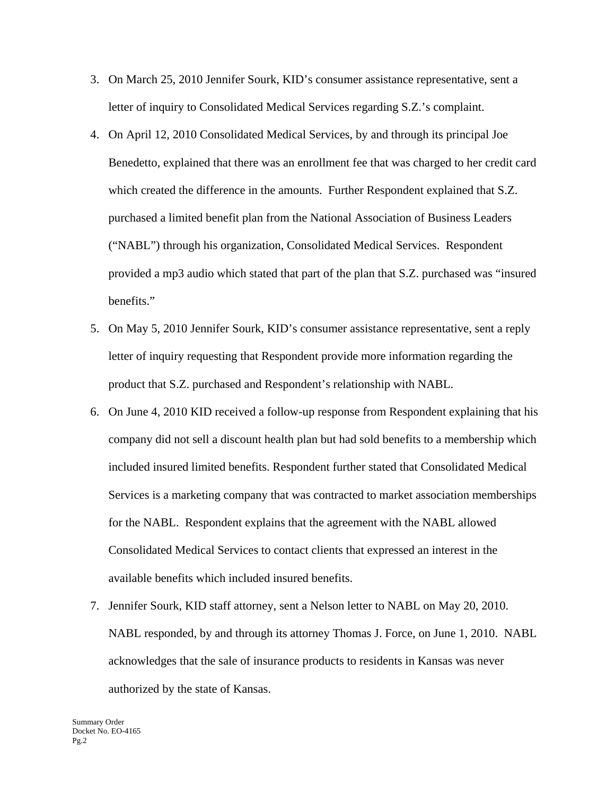- 3. On March 25, 2010 Jennifer Sourk, KID's consumer assistance representative, sent a letter of inquiry to Consolidated Medical Services regarding S.Z.'s complaint.
- 4. On April 12, 2010 Consolidated Medical Services, by and through its principal Joe Benedetto, explained that there was an enrollment fee that was charged to her credit card which created the difference in the amounts. Further Respondent explained that S.Z. purchased a limited benefit plan from the National Association of Business Leaders ("NABL") through his organization, Consolidated Medical Services. Respondent provided a mp3 audio which stated that part of the plan that S.Z. purchased was "insured benefits."
- 5. On May 5, 2010 Jennifer Sourk, KID's consumer assistance representative, sent a reply letter of inquiry requesting that Respondent provide more information regarding the product that S.Z. purchased and Respondent's relationship with NABL.
- 6. On June 4, 2010 KID received a follow-up response from Respondent explaining that his company did not sell a discount health plan but had sold benefits to a membership which included insured limited benefits. Respondent further stated that Consolidated Medical Services is a marketing company that was contracted to market association memberships for the NABL. Respondent explains that the agreement with the NABL allowed Consolidated Medical Services to contact clients that expressed an interest in the available benefits which included insured benefits.
- 7. Jennifer Sourk, KID staff attorney, sent a Nelson letter to NABL on May 20, 2010. NABL responded, by and through its attorney Thomas J. Force, on June 1, 2010. NABL acknowledges that the sale of insurance products to residents in Kansas was never authorized by the state of Kansas.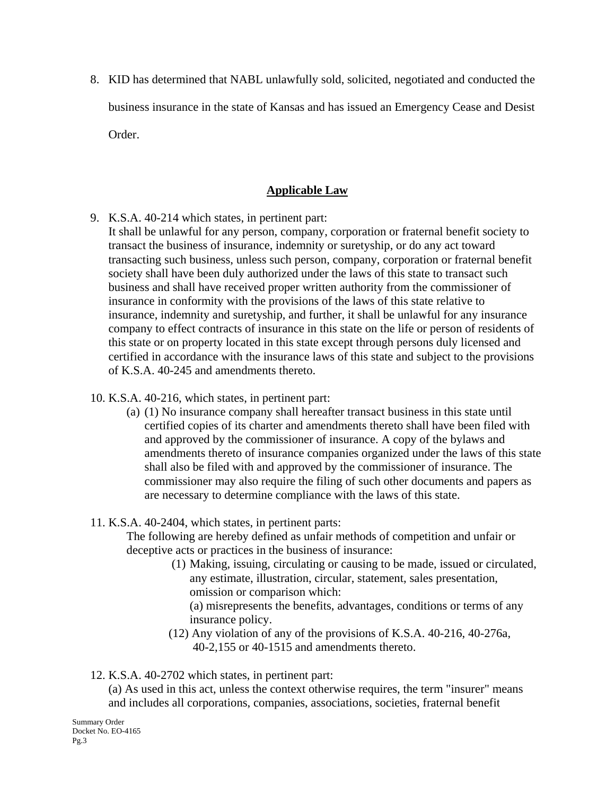8. KID has determined that NABL unlawfully sold, solicited, negotiated and conducted the business insurance in the state of Kansas and has issued an Emergency Cease and Desist Order.

## **Applicable Law**

- 9. K.S.A. 40-214 which states, in pertinent part:
	- It shall be unlawful for any person, company, corporation or fraternal benefit society to transact the business of insurance, indemnity or suretyship, or do any act toward transacting such business, unless such person, company, corporation or fraternal benefit society shall have been duly authorized under the laws of this state to transact such business and shall have received proper written authority from the commissioner of insurance in conformity with the provisions of the laws of this state relative to insurance, indemnity and suretyship, and further, it shall be unlawful for any insurance company to effect contracts of insurance in this state on the life or person of residents of this state or on property located in this state except through persons duly licensed and certified in accordance with the insurance laws of this state and subject to the provisions of K.S.A. 40-245 and amendments thereto.
- 10. K.S.A. 40-216, which states, in pertinent part:
	- (a) (1) No insurance company shall hereafter transact business in this state until certified copies of its charter and amendments thereto shall have been filed with and approved by the commissioner of insurance. A copy of the bylaws and amendments thereto of insurance companies organized under the laws of this state shall also be filed with and approved by the commissioner of insurance. The commissioner may also require the filing of such other documents and papers as are necessary to determine compliance with the laws of this state.
- 11. K.S.A. 40-2404, which states, in pertinent parts:

The following are hereby defined as unfair methods of competition and unfair or deceptive acts or practices in the business of insurance:

> (1) Making, issuing, circulating or causing to be made, issued or circulated, any estimate, illustration, circular, statement, sales presentation, omission or comparison which:

(a) misrepresents the benefits, advantages, conditions or terms of any insurance policy.

- (12) Any violation of any of the provisions of K.S.A. 40-216, 40-276a, 40-2,155 or 40-1515 and amendments thereto.
- 12. K.S.A. 40-2702 which states, in pertinent part:

(a) As used in this act, unless the context otherwise requires, the term "insurer" means and includes all corporations, companies, associations, societies, fraternal benefit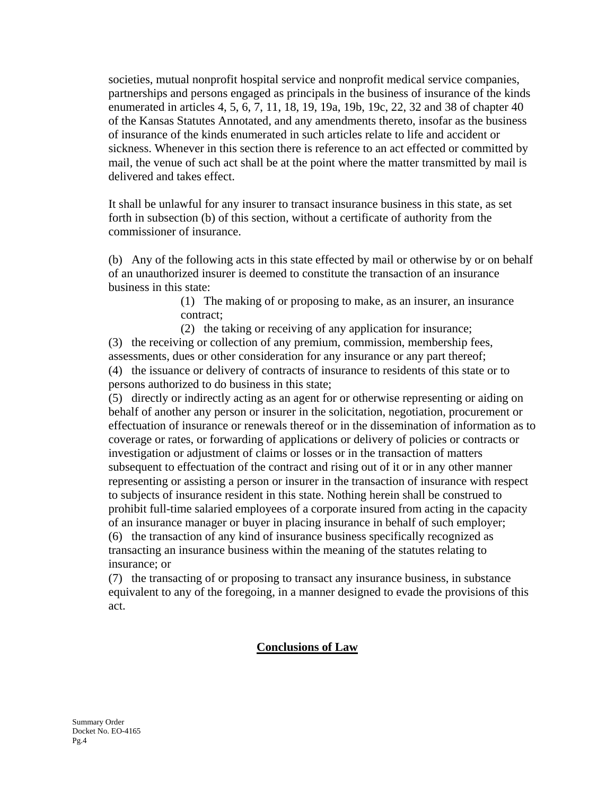societies, mutual nonprofit hospital service and nonprofit medical service companies, partnerships and persons engaged as principals in the business of insurance of the kinds enumerated in articles 4, 5, 6, 7, 11, 18, 19, 19a, 19b, 19c, 22, 32 and 38 of chapter 40 of the Kansas Statutes Annotated, and any amendments thereto, insofar as the business of insurance of the kinds enumerated in such articles relate to life and accident or sickness. Whenever in this section there is reference to an act effected or committed by mail, the venue of such act shall be at the point where the matter transmitted by mail is delivered and takes effect.

It shall be unlawful for any insurer to transact insurance business in this state, as set forth in subsection (b) of this section, without a certificate of authority from the commissioner of insurance.

(b) Any of the following acts in this state effected by mail or otherwise by or on behalf of an unauthorized insurer is deemed to constitute the transaction of an insurance business in this state:

> (1) The making of or proposing to make, as an insurer, an insurance contract;

 (2) the taking or receiving of any application for insurance; (3) the receiving or collection of any premium, commission, membership fees, assessments, dues or other consideration for any insurance or any part thereof; (4) the issuance or delivery of contracts of insurance to residents of this state or to persons authorized to do business in this state;

(5) directly or indirectly acting as an agent for or otherwise representing or aiding on behalf of another any person or insurer in the solicitation, negotiation, procurement or effectuation of insurance or renewals thereof or in the dissemination of information as to coverage or rates, or forwarding of applications or delivery of policies or contracts or investigation or adjustment of claims or losses or in the transaction of matters subsequent to effectuation of the contract and rising out of it or in any other manner representing or assisting a person or insurer in the transaction of insurance with respect to subjects of insurance resident in this state. Nothing herein shall be construed to prohibit full-time salaried employees of a corporate insured from acting in the capacity of an insurance manager or buyer in placing insurance in behalf of such employer; (6) the transaction of any kind of insurance business specifically recognized as transacting an insurance business within the meaning of the statutes relating to insurance; or

(7) the transacting of or proposing to transact any insurance business, in substance equivalent to any of the foregoing, in a manner designed to evade the provisions of this act.

#### **Conclusions of Law**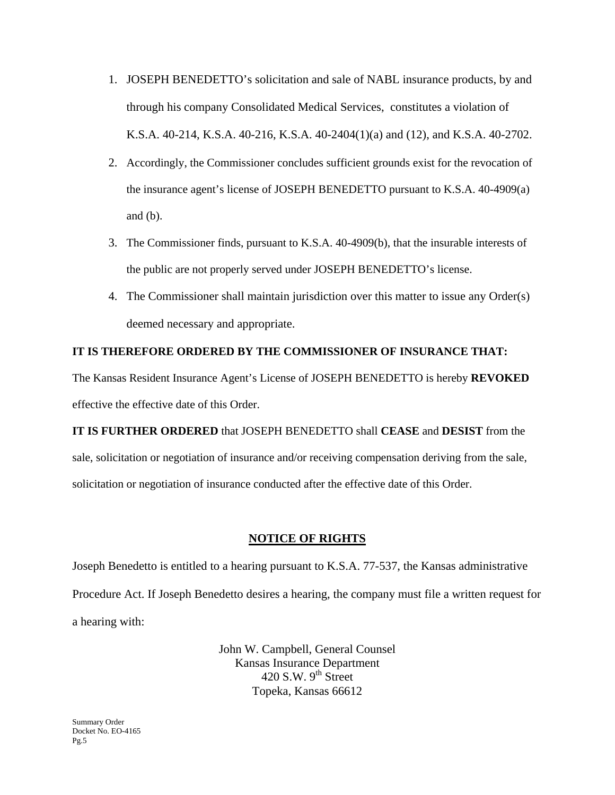- 1. JOSEPH BENEDETTO's solicitation and sale of NABL insurance products, by and through his company Consolidated Medical Services, constitutes a violation of K.S.A. 40-214, K.S.A. 40-216, K.S.A. 40-2404(1)(a) and (12), and K.S.A. 40-2702.
- 2. Accordingly, the Commissioner concludes sufficient grounds exist for the revocation of the insurance agent's license of JOSEPH BENEDETTO pursuant to K.S.A. 40-4909(a) and (b).
- 3. The Commissioner finds, pursuant to K.S.A. 40-4909(b), that the insurable interests of the public are not properly served under JOSEPH BENEDETTO's license.
- 4. The Commissioner shall maintain jurisdiction over this matter to issue any Order(s) deemed necessary and appropriate.

#### **IT IS THEREFORE ORDERED BY THE COMMISSIONER OF INSURANCE THAT:**

The Kansas Resident Insurance Agent's License of JOSEPH BENEDETTO is hereby **REVOKED**  effective the effective date of this Order.

**IT IS FURTHER ORDERED** that JOSEPH BENEDETTO shall **CEASE** and **DESIST** from the sale, solicitation or negotiation of insurance and/or receiving compensation deriving from the sale, solicitation or negotiation of insurance conducted after the effective date of this Order.

## **NOTICE OF RIGHTS**

Joseph Benedetto is entitled to a hearing pursuant to K.S.A. 77-537, the Kansas administrative Procedure Act. If Joseph Benedetto desires a hearing, the company must file a written request for a hearing with:

> John W. Campbell, General Counsel Kansas Insurance Department 420 S.W.  $9^{th}$  Street Topeka, Kansas 66612

Summary Order Docket No. EO-4165 Pg.5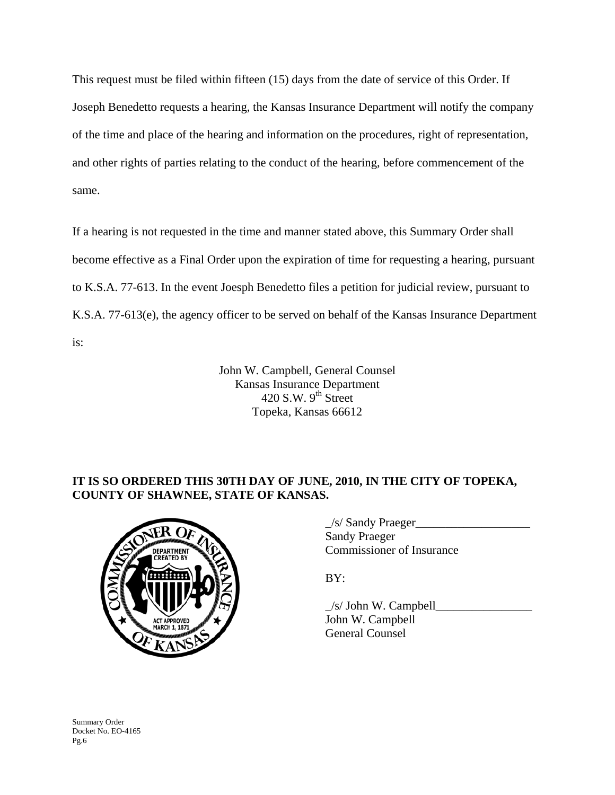This request must be filed within fifteen (15) days from the date of service of this Order. If Joseph Benedetto requests a hearing, the Kansas Insurance Department will notify the company of the time and place of the hearing and information on the procedures, right of representation, and other rights of parties relating to the conduct of the hearing, before commencement of the same.

If a hearing is not requested in the time and manner stated above, this Summary Order shall become effective as a Final Order upon the expiration of time for requesting a hearing, pursuant to K.S.A. 77-613. In the event Joesph Benedetto files a petition for judicial review, pursuant to K.S.A. 77-613(e), the agency officer to be served on behalf of the Kansas Insurance Department is:

> John W. Campbell, General Counsel Kansas Insurance Department 420 S.W.  $9<sup>th</sup>$  Street Topeka, Kansas 66612

# **IT IS SO ORDERED THIS 30TH DAY OF JUNE, 2010, IN THE CITY OF TOPEKA, COUNTY OF SHAWNEE, STATE OF KANSAS.**



|                             | /s/ Sandy Praeger         |
|-----------------------------|---------------------------|
| NER OF<br><b>DEPARTMENT</b> | Sandy Praeger             |
|                             | Commissioner of Insurance |

 $\angle$ s/ John W. Campbell John W. Campbell General Counsel

Summary Order Docket No. EO-4165 Pg.6